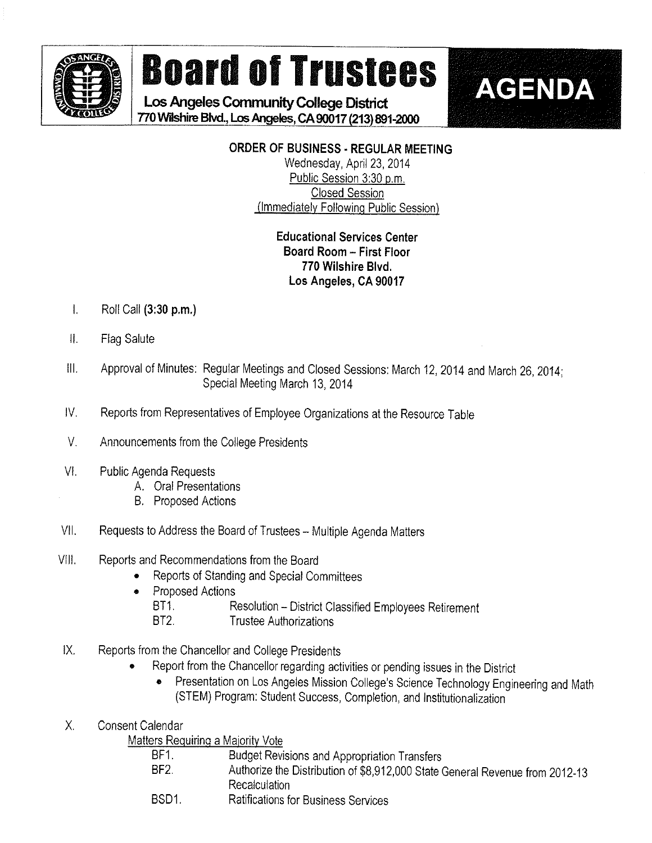

# **Board of Trustees**

Los Angeles Community College District 770 Wilshire Blvd., Los Angeles, CA 90017 (213) 891-2000

# **ORDER OF BUSINESS - REGULAR MEETING**

**AGENDA** 

Wednesday, April 23, 2014 Public Session 3:30 p.m. **Closed Session** (Immediately Following Public Session)

# **Educational Services Center** Board Room - First Floor 770 Wilshire Blvd. Los Angeles, CA 90017

- $\mathbf{L}$ Roll Call (3:30 p.m.)
- Ⅱ. **Flag Salute**
- Approval of Minutes: Regular Meetings and Closed Sessions: March 12, 2014 and March 26, 2014;  $\mathbf{III}$ . Special Meeting March 13, 2014
- IV. Reports from Representatives of Employee Organizations at the Resource Table
- $V_{\perp}$ Announcements from the College Presidents
- VI. **Public Agenda Requests** 
	- A. Oral Presentations
	- **B.** Proposed Actions
- VII. Requests to Address the Board of Trustees - Multiple Agenda Matters
- VIII. Reports and Recommendations from the Board
	- Reports of Standing and Special Committees
	- **Proposed Actions**  $\bullet$ 
		- BT1. Resolution - District Classified Employees Retirement
		- **Trustee Authorizations** BT2.
- $IX.$ Reports from the Chancellor and College Presidents
	- Report from the Chancellor regarding activities or pending issues in the District
		- Presentation on Los Angeles Mission College's Science Technology Engineering and Math  $\bullet$ (STEM) Program: Student Success, Completion, and Institutionalization
- **Consent Calendar** Х.

Matters Requiring a Majority Vote

| BF <sub>1</sub> | Budget Revisions and Appropriation Transfers                                 |
|-----------------|------------------------------------------------------------------------------|
| BF2.            | Authorize the Distribution of \$8,912,000 State General Revenue from 2012-13 |
|                 | Recalculation                                                                |
| BSD1            | <b>Ratifications for Business Services</b>                                   |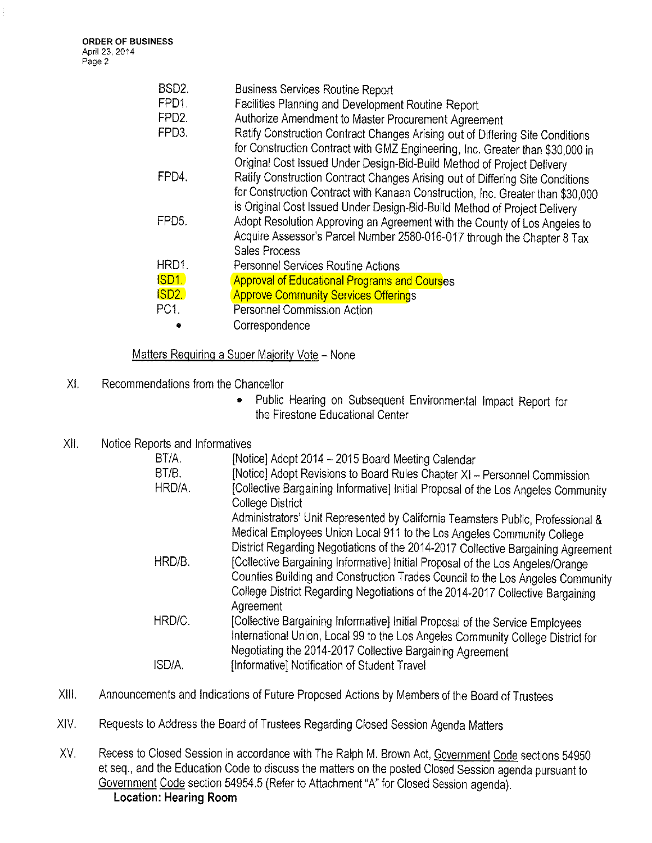| BSD <sub>2</sub><br>FPD <sub>1</sub> | <b>Business Services Routine Report</b><br>Facilities Planning and Development Routine Report                                                                  |
|--------------------------------------|----------------------------------------------------------------------------------------------------------------------------------------------------------------|
| FPD <sub>2</sub> .                   | Authorize Amendment to Master Procurement Agreement                                                                                                            |
| FPD <sub>3</sub> .                   | Ratify Construction Contract Changes Arising out of Differing Site Conditions<br>for Construction Contract with GMZ Engineering, Inc. Greater than \$30,000 in |
|                                      | Original Cost Issued Under Design-Bid-Build Method of Project Delivery                                                                                         |
| FPD4.                                | Ratify Construction Contract Changes Arising out of Differing Site Conditions                                                                                  |
|                                      | for Construction Contract with Kanaan Construction, Inc. Greater than \$30,000                                                                                 |
| FPD <sub>5</sub> .                   | is Original Cost Issued Under Design-Bid-Build Method of Project Delivery<br>Adopt Resolution Approving an Agreement with the County of Los Angeles to         |
|                                      | Acquire Assessor's Parcel Number 2580-016-017 through the Chapter 8 Tax                                                                                        |
|                                      | <b>Sales Process</b>                                                                                                                                           |
| HRD1.                                | <b>Personnel Services Routine Actions</b>                                                                                                                      |
| <b>ISD1</b>                          | <b>Approval of Educational Programs and Courses</b>                                                                                                            |
| ISD <sub>2</sub>                     | <b>Approve Community Services Offerings</b>                                                                                                                    |
| PC1.                                 | Personnel Commission Action                                                                                                                                    |
|                                      | Correspondence                                                                                                                                                 |

#### Matters Requiring a Super Majority Vote - None

- X!, Recommendatjons from the Chancellor
	- Public Hearing on Subsequent Environmental Impact Report for the Firestone Educational Center
- X!i. Notice Reports and Informatives

| BT/A.  | [Notice] Adopt 2014 - 2015 Board Meeting Calendar                                                                                                         |
|--------|-----------------------------------------------------------------------------------------------------------------------------------------------------------|
| BT/B.  | [Notice] Adopt Revisions to Board Rules Chapter XI - Personnel Commission                                                                                 |
| HRD/A. | [Collective Bargaining Informative] Initial Proposal of the Los Angeles Community<br><b>College District</b>                                              |
|        | Administrators' Unit Represented by California Teamsters Public, Professional &<br>Medical Employees Union Local 911 to the Los Angeles Community College |
|        | District Regarding Negotiations of the 2014-2017 Collective Bargaining Agreement                                                                          |
| HRD/B. | [Collective Bargaining Informative] Initial Proposal of the Los Angeles/Orange                                                                            |
|        | Counties Building and Construction Trades Council to the Los Angeles Community                                                                            |
|        | College District Regarding Negotiations of the 2014-2017 Collective Bargaining                                                                            |
|        | Agreement                                                                                                                                                 |
| HRD/C. | [Collective Bargaining Informative] Initial Proposal of the Service Employees                                                                             |
|        | International Union, Local 99 to the Los Angeles Community College District for<br>Negotiating the 2014-2017 Collective Bargaining Agreement              |
| ISD/A. | [Informative] Notification of Student Travel                                                                                                              |
|        |                                                                                                                                                           |

- XIII. Announcements and Indications of Future Proposed Actions by Members of the Board of Trustees
- XIV. Requests to Address the Board of Trustees Regarding Ciosed Session Agenda Matters
- XV. Recess to Closed Session in accordance with The Ralph M. Brown Act, Government Code sections 54950 et seq, and the Education Code to discuss the matters on the posted Closed Session agenda pursuant to Government Code section 54954,5 (Refer to Attachment "A" for Closed Session agenda). Location: Hearing Room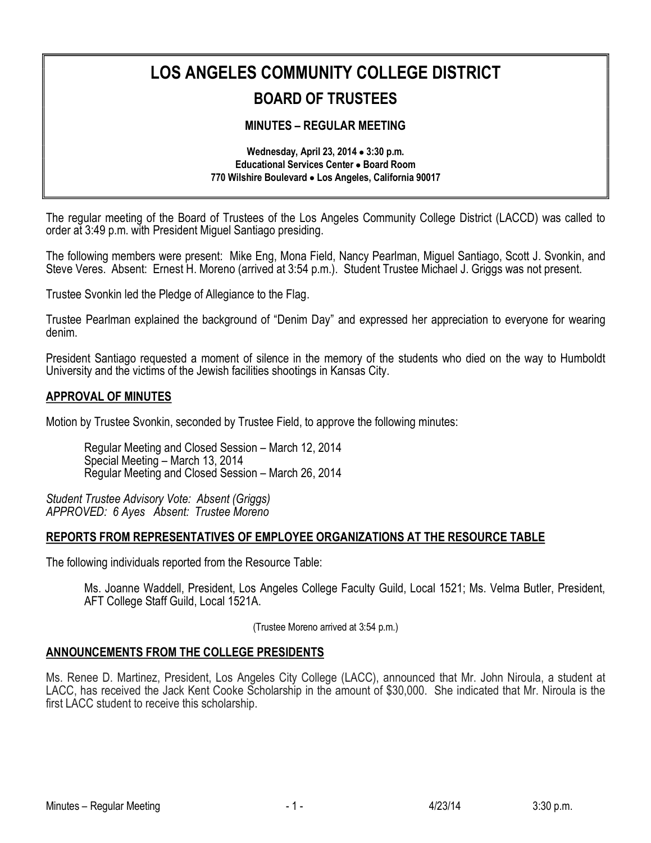# **LOS ANGELES COMMUNITY COLLEGE DISTRICT BOARD OF TRUSTEES**

## **MINUTES – REGULAR MEETING**

**Wednesday, April 23, 2014** · **3:30 p.m. Educational Services Center** · **Board Room 770 Wilshire Boulevard** · **Los Angeles, California 90017**

The regular meeting of the Board of Trustees of the Los Angeles Community College District (LACCD) was called to order at 3:49 p.m. with President Miguel Santiago presiding.

The following members were present: Mike Eng, Mona Field, Nancy Pearlman, Miguel Santiago, Scott J. Svonkin, and Steve Veres. Absent: Ernest H. Moreno (arrived at 3:54 p.m.). Student Trustee Michael J. Griggs was not present.

Trustee Svonkin led the Pledge of Allegiance to the Flag.

Trustee Pearlman explained the background of "Denim Day" and expressed her appreciation to everyone for wearing denim.

President Santiago requested a moment of silence in the memory of the students who died on the way to Humboldt University and the victims of the Jewish facilities shootings in Kansas City.

#### **APPROVAL OF MINUTES**

Motion by Trustee Svonkin, seconded by Trustee Field, to approve the following minutes:

Regular Meeting and Closed Session – March 12, 2014 Special Meeting – March 13, 2014 Regular Meeting and Closed Session – March 26, 2014

*Student Trustee Advisory Vote: Absent (Griggs) APPROVED: 6 Ayes Absent: Trustee Moreno*

#### **REPORTS FROM REPRESENTATIVES OF EMPLOYEE ORGANIZATIONS AT THE RESOURCE TABLE**

The following individuals reported from the Resource Table:

Ms. Joanne Waddell, President, Los Angeles College Faculty Guild, Local 1521; Ms. Velma Butler, President,<br>AFT College Staff Guild, Local 1521A.

(Trustee Moreno arrived at 3:54 p.m.)

#### **ANNOUNCEMENTS FROM THE COLLEGE PRESIDENTS**

Ms. Renee D. Martinez, President, Los Angeles City College (LACC), announced that Mr. John Niroula, a student at LACC, has received the Jack Kent Cooke Scholarship in the amount of \$30,000. She indicated that Mr. Niroula is the first LACC student to receive this scholarship.